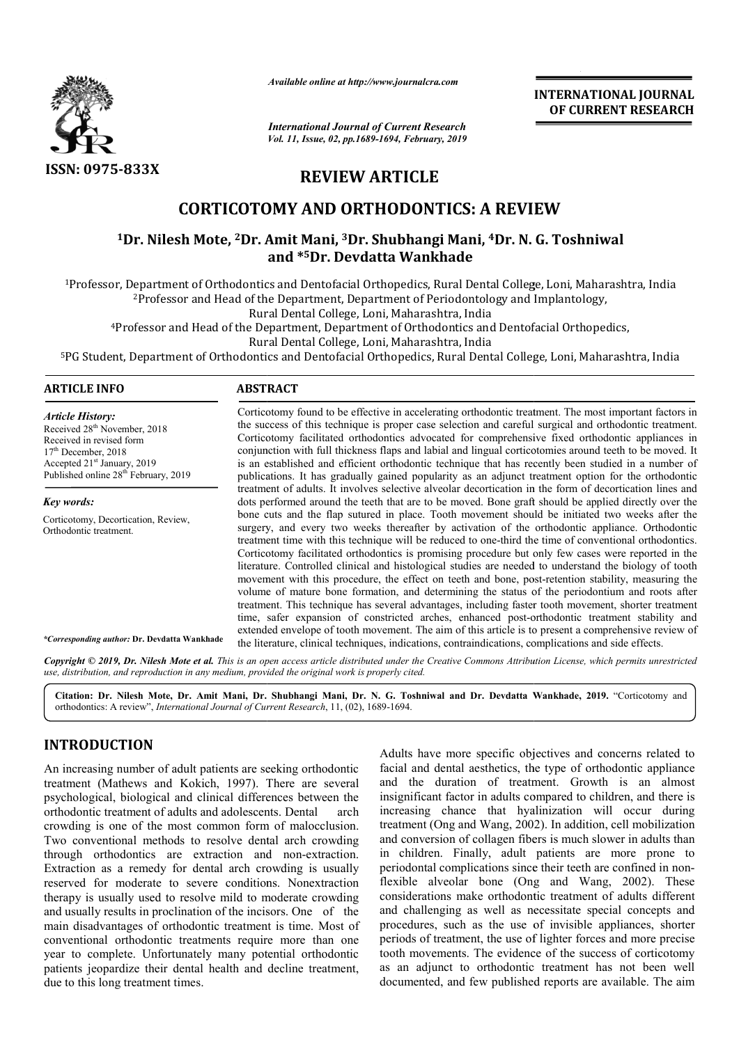

*Available online at http://www.journalcra.com*

*International Journal of Current Research Vol. 11, Issue, 02, pp.1689-1694, February, 2019* **INTERNATIONAL JOURNAL OF CURRENT RESEARCH**

# **REVIEW ARTICLE**

# **CORTICOTOMY AND ORTHODONTICS: A REVIEW**

## <sup>1</sup>Dr. Nilesh Mote, <sup>2</sup>Dr. Amit Mani, <sup>3</sup>Dr. Shubhangi Mani, <sup>4</sup>Dr. N. G. Toshniwal **and \*5Dr. Devdatta Wankhade**

1Professor, Department of Orthodontics and Dentofacial Orthopedics, Rural Dental College, Loni, Maharashtra, India

<sup>2</sup>Professor and Head of the Department, Department of Periodontology and Implantology,

Rural Dental College, Loni, Maharashtra, India

4Professor and Head of the Department, Department of Orthodontics and Dentofacial Orthopedics,

Rural Dental College, Loni, Maharashtra, India

Professor and Head of the Department, Department of Orthodontics and Dentofacial Orthopedics,<br>Rural Dental College, Loni, Maharashtra, India<br><sup>5</sup>PG Student, Department of Orthodontics and Dentofacial Orthopedics, Rural Dent

#### **ARTICLE INFO ABSTRACT**

*Article History:* Received 28<sup>th</sup> November, 2018 Received in revised form 17<sup>th</sup> December, 2018 Accepted 21<sup>st</sup> January, 2019 Published online 28<sup>th</sup> February, 2019

*Key words:* Corticotomy, Decortication, Review, Orthodontic treatment.

Corticotomy found to be effective in accelerating orthodontic treatment. The most important factors in the success of this technique is proper case selection and careful surgical and orthodontic treatment. Corticotomy facilitated orthodontics advocated for comprehensive fixed orthodontic appliances in Corticotomy found to be effective in accelerating orthodontic treatment. The most important factors in the success of this technique is proper case selection and careful surgical and orthodontic treatment. Corticotomy faci is an established and efficient orthodontic technique that has recently been studied in a number of publications. It has gradually gained popularity as an adjunct treatment option for the orthodontic treatment of adults. It involves selecti selective alveolar decortication in the form of decortication lines and dots performed around the teeth that are to be moved. Bone graft should be applied directly over the bone cuts and the flap sutured in place. Tooth movement should be initiated two weeks afte surgery, and every two weeks thereafter by activation of the orthodontic appliance. Orthodontic treatment time with this technique will be reduced to one-third the time of conventional orthodontics. Corticotomy facilitated orthodontics is promising p procedure but only few cases were reported in the literature. Controlled clinical and histological studies are needed to understand the biology of tooth surgery, and every two weeks thereafter by activation of the orthodontic appliance. Orthodontics treatment time with this technique will be reduced to one-third the time of conventional orthodontics. Corticotomy facilitate volume of mature bone formation, and determining the status of the periodontium and roots after treatment. This technique has several advantages, including faster tooth movement, shorter treatment volume of mature bone formation, and determining the status of the periodontium and roots after treatment. This technique has several advantages, including faster tooth movement, shorter treatment time, safer expansion of extended envelope of tooth movement. The aim of this article is to present a comprehensive review of extended envelope of tooth movement. The aim of this article is to present a comprehensive re<br>the literature, clinical techniques, indications, contraindications, complications and side effects. is an established and efficient orthodontic technique that has recently been studied in a number of publications. It has gradually gained popularity as an adjunct treatment option for the orthodontic treatment of adults. I **INTERNATIONAL JOURNAL COMAL CONCEMENT (CONCEMENT RESEARCH CONCEMENT (CONCEPT)**<br> **As the use of application (FCC CONCEPT)**<br> **As of application (FCC CONCEPT)**<br> **As of application (FCC CONCEPT)**<br> **As of application** (FCC CON

*\*Corresponding author:* **Dr. Devdatta Wankhade**

Copyright © 2019, Dr. Nilesh Mote et al. This is an open access article distributed under the Creative Commons Attribution License, which permits unrestricted *use, distribution, and reproduction in any medium, provided the original work is properly cited.*

**Citation: Dr. Nilesh Mote, Dr. Amit Mani, Dr. Shubhangi Mani, Dr. N. G. Toshniwal and Dr. Devdatta Wankhade Wankhade, 2019.** "Corticotomy and orthodontics: A review", *International Journal of Current Research* , 11, (02), 1689-1694.

## **INTRODUCTION**

An increasing number of adult patients are seeking orthodontic treatment (Mathews and Kokich, 1997). There are several psychological, biological and clinical differences between the orthodontic treatment of adults and adolescents. Dental arch crowding is one of the most common form of malocclusion. Two conventional methods to resolve dental arch crowding through orthodontics are extraction and non-extraction. Extraction as a remedy for dental arch crowding is usually reserved for moderate to severe conditions. Nonextraction therapy is usually used to resolve mild to moderate crowding and usually results in proclination of the incisors. One of the main disadvantages of orthodontic treatment is time. Most of conventional orthodontic treatments require more than one year to complete. Unfortunately many potential orthodontic patients jeopardize their dental health and decline treatment, due to this long treatment times.

Adults have more specific objectives and concerns related to facial and dental aesthetics, the type of orthodontic appliance and the duration of treatment. Growth is an almost insignificant factor in adults compared to children, and there is increasing chance that hyalinization will occur during treatment (Ong and Wang, 2002). In addition, cell mobilization and conversion of collagen fibers is much slower in adults than in children. Finally, adult patients are more prone to periodontal complications since their teeth are confined in nonflexible alveolar bone (Ong and Wang, 2002). These considerations make orthodontic treatment of adults different and challenging as well as necessitate special concepts and procedures, such as the use of invisible appliances, shorter periods of treatment, the use of lighter forces and more precise tooth movements. The evidence of the success of corticotomy as an adjunct to orthodontic treatment has not been well documented, and few published reports are available. The aim Adults have more specific objectives and concerns related to facial and dental aesthetics, the type of orthodontic appliance and the duration of treatment. Growth is an almost insignificant factor in adults compared to chi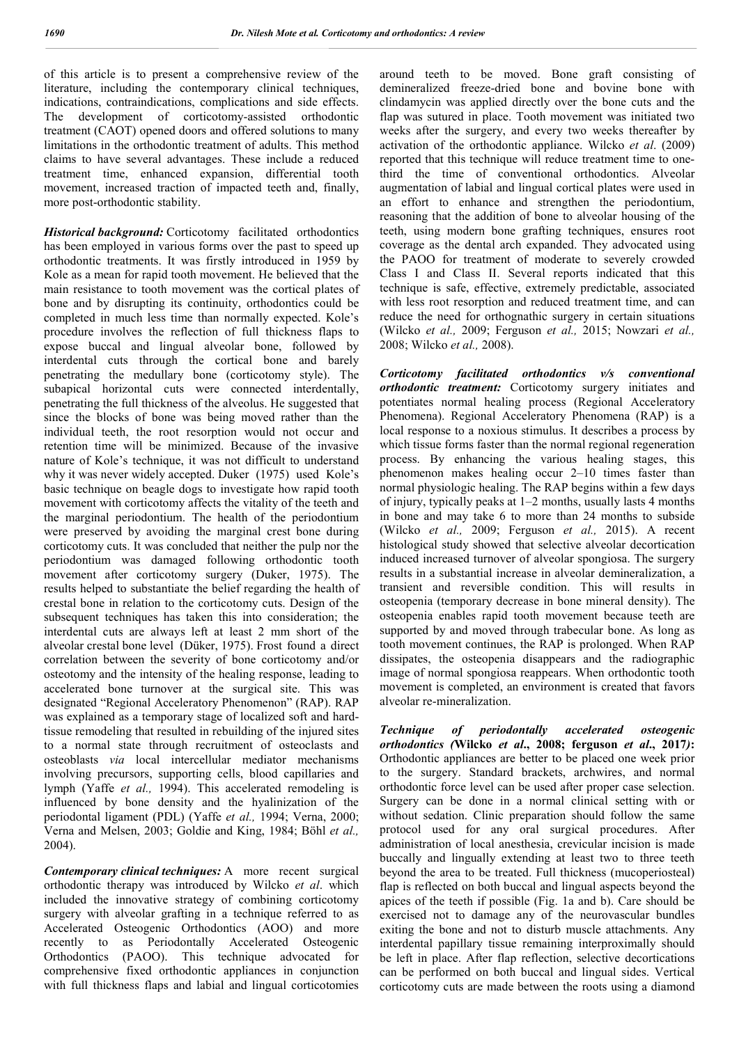of this article is to present a comprehensive review of the literature, including the contemporary clinical techniques, indications, contraindications, complications and side effects. The development of corticotomy-assisted orthodontic treatment (CAOT) opened doors and offered solutions to many limitations in the orthodontic treatment of adults. This method claims to have several advantages. These include a reduced treatment time, enhanced expansion, differential tooth movement, increased traction of impacted teeth and, finally, more post-orthodontic stability.

*Historical background:* Corticotomy facilitated orthodontics has been employed in various forms over the past to speed up orthodontic treatments. It was firstly introduced in 1959 by Kole as a mean for rapid tooth movement. He believed that the main resistance to tooth movement was the cortical plates of bone and by disrupting its continuity, orthodontics could be completed in much less time than normally expected. Kole's procedure involves the reflection of full thickness flaps to expose buccal and lingual alveolar bone, followed by interdental cuts through the cortical bone and barely penetrating the medullary bone (corticotomy style). The subapical horizontal cuts were connected interdentally, penetrating the full thickness of the alveolus. He suggested that since the blocks of bone was being moved rather than the individual teeth, the root resorption would not occur and retention time will be minimized. Because of the invasive nature of Kole's technique, it was not difficult to understand why it was never widely accepted. Duker (1975) used Kole's basic technique on beagle dogs to investigate how rapid tooth movement with corticotomy affects the vitality of the teeth and the marginal periodontium. The health of the periodontium were preserved by avoiding the marginal crest bone during corticotomy cuts. It was concluded that neither the pulp nor the periodontium was damaged following orthodontic tooth movement after corticotomy surgery (Duker, 1975). The results helped to substantiate the belief regarding the health of crestal bone in relation to the corticotomy cuts. Design of the subsequent techniques has taken this into consideration; the interdental cuts are always left at least 2 mm short of the alveolar crestal bone level (Düker, 1975). Frost found a direct correlation between the severity of bone corticotomy and/or osteotomy and the intensity of the healing response, leading to accelerated bone turnover at the surgical site. This was designated "Regional Acceleratory Phenomenon" (RAP). RAP was explained as a temporary stage of localized soft and hardtissue remodeling that resulted in rebuilding of the injured sites to a normal state through recruitment of osteoclasts and osteoblasts *via* local intercellular mediator mechanisms involving precursors, supporting cells, blood capillaries and lymph (Yaffe *et al.,* 1994). This accelerated remodeling is influenced by bone density and the hyalinization of the periodontal ligament (PDL) (Yaffe *et al.,* 1994; Verna, 2000; Verna and Melsen, 2003; Goldie and King, 1984; Böhl *et al.,*  2004).

*Contemporary clinical techniques:* A more recent surgical orthodontic therapy was introduced by Wilcko *et al*. which included the innovative strategy of combining corticotomy surgery with alveolar grafting in a technique referred to as Accelerated Osteogenic Orthodontics (AOO) and more recently to as Periodontally Accelerated Osteogenic Orthodontics (PAOO). This technique advocated for comprehensive fixed orthodontic appliances in conjunction with full thickness flaps and labial and lingual corticotomies

around teeth to be moved. Bone graft consisting of demineralized freeze-dried bone and bovine bone with clindamycin was applied directly over the bone cuts and the flap was sutured in place. Tooth movement was initiated two weeks after the surgery, and every two weeks thereafter by activation of the orthodontic appliance. Wilcko *et al*. (2009) reported that this technique will reduce treatment time to onethird the time of conventional orthodontics. Alveolar augmentation of labial and lingual cortical plates were used in an effort to enhance and strengthen the periodontium, reasoning that the addition of bone to alveolar housing of the teeth, using modern bone grafting techniques, ensures root coverage as the dental arch expanded. They advocated using the PAOO for treatment of moderate to severely crowded Class I and Class II. Several reports indicated that this technique is safe, effective, extremely predictable, associated with less root resorption and reduced treatment time, and can reduce the need for orthognathic surgery in certain situations (Wilcko *et al.,* 2009; Ferguson *et al.,* 2015; Nowzari *et al.,*  2008; Wilcko *et al.,* 2008).

*Corticotomy facilitated orthodontics v/s conventional orthodontic treatment:* Corticotomy surgery initiates and potentiates normal healing process (Regional Acceleratory Phenomena). Regional Acceleratory Phenomena (RAP) is a local response to a noxious stimulus. It describes a process by which tissue forms faster than the normal regional regeneration process. By enhancing the various healing stages, this phenomenon makes healing occur 2–10 times faster than normal physiologic healing. The RAP begins within a few days of injury, typically peaks at 1–2 months, usually lasts 4 months in bone and may take 6 to more than 24 months to subside (Wilcko *et al.,* 2009; Ferguson *et al.,* 2015). A recent histological study showed that selective alveolar decortication induced increased turnover of alveolar spongiosa. The surgery results in a substantial increase in alveolar demineralization, a transient and reversible condition. This will results in osteopenia (temporary decrease in bone mineral density). The osteopenia enables rapid tooth movement because teeth are supported by and moved through trabecular bone. As long as tooth movement continues, the RAP is prolonged. When RAP dissipates, the osteopenia disappears and the radiographic image of normal spongiosa reappears. When orthodontic tooth movement is completed, an environment is created that favors alveolar re-mineralization.

*Technique of periodontally accelerated osteogenic orthodontics (***Wilcko** *et al***., 2008; ferguson** *et al***., 2017***)***:** Orthodontic appliances are better to be placed one week prior to the surgery. Standard brackets, archwires, and normal orthodontic force level can be used after proper case selection. Surgery can be done in a normal clinical setting with or without sedation. Clinic preparation should follow the same protocol used for any oral surgical procedures. After administration of local anesthesia, crevicular incision is made buccally and lingually extending at least two to three teeth beyond the area to be treated. Full thickness (mucoperiosteal) flap is reflected on both buccal and lingual aspects beyond the apices of the teeth if possible (Fig. 1a and b). Care should be exercised not to damage any of the neurovascular bundles exiting the bone and not to disturb muscle attachments. Any interdental papillary tissue remaining interproximally should be left in place. After flap reflection, selective decortications can be performed on both buccal and lingual sides. Vertical corticotomy cuts are made between the roots using a diamond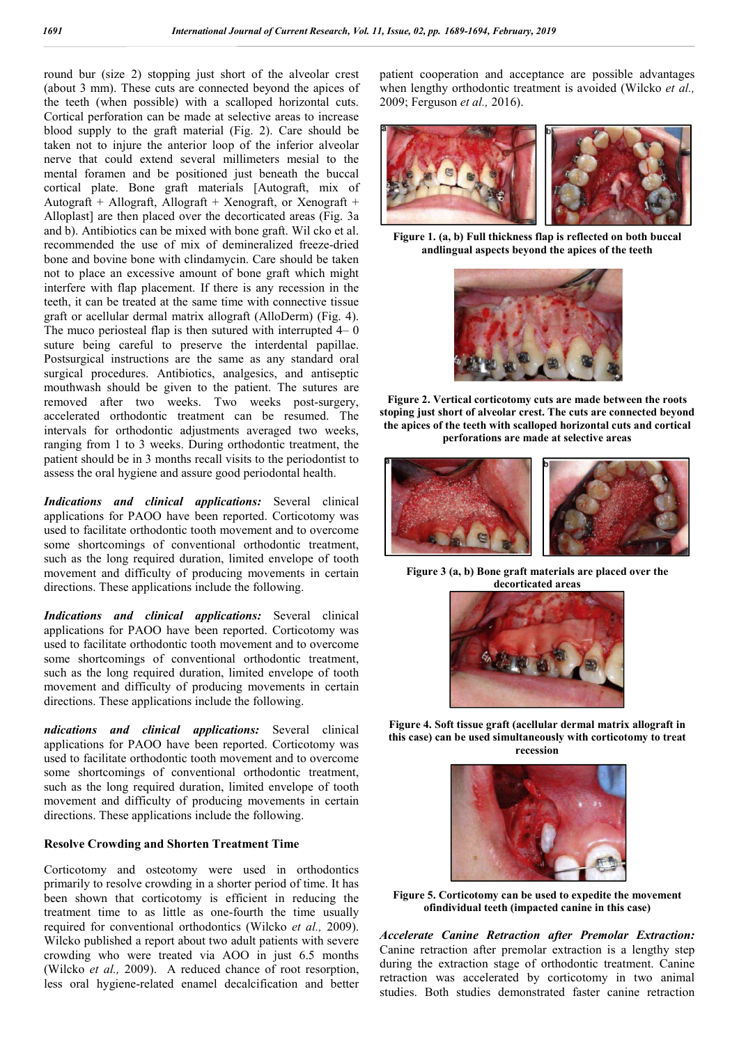round bur (size 2) stopping just short of the alveolar crest (about 3 mm). These cuts are connected beyond the apices of the teeth (when possible) with a scalloped horizontal cuts. Cortical perforation can be made at selective areas to increase blood supply to the graft material (Fig. 2). Care should be taken not to injure the anterior loop of the inferior alveolar nerve that could extend several millimeters mesial to the mental foramen and be positioned just beneath the buccal cortical plate. Bone graft materials [Autograft, mix of Autograft + Allograft, Allograft + Xenograft, or Xenograft + Alloplast] are then placed over the decorticated areas (Fig. 3a and b). Antibiotics can be mixed with bone graft. Wil cko et al. recommended the use of mix of demineralized freeze-dried bone and bovine bone with clindamycin. Care should be taken not to place an excessive amount of bone graft which might interfere with flap placement. If there is any recession in the teeth, it can be treated at the same time with connective tissue graft or acellular dermal matrix allograft (AlloDerm) (Fig. 4). The muco periosteal flap is then sutured with interrupted 4– 0 suture being careful to preserve the interdental papillae. Postsurgical instructions are the same as any standard oral surgical procedures. Antibiotics, analgesics, and antiseptic mouthwash should be given to the patient. The sutures are removed after two weeks. Two weeks post-surgery, accelerated orthodontic treatment can be resumed. The intervals for orthodontic adjustments averaged two weeks, ranging from 1 to 3 weeks. During orthodontic treatment, the patient should be in 3 months recall visits to the periodontist to assess the oral hygiene and assure good periodontal health.

*Indications and clinical applications:* Several clinical applications for PAOO have been reported. Corticotomy was used to facilitate orthodontic tooth movement and to overcome some shortcomings of conventional orthodontic treatment, such as the long required duration, limited envelope of tooth movement and difficulty of producing movements in certain directions. These applications include the following.

*Indications and clinical applications:* Several clinical applications for PAOO have been reported. Corticotomy was used to facilitate orthodontic tooth movement and to overcome some shortcomings of conventional orthodontic treatment, such as the long required duration, limited envelope of tooth movement and difficulty of producing movements in certain directions. These applications include the following.

*ndications and clinical applications:* Several clinical applications for PAOO have been reported. Corticotomy was used to facilitate orthodontic tooth movement and to overcome some shortcomings of conventional orthodontic treatment, such as the long required duration, limited envelope of tooth movement and difficulty of producing movements in certain directions. These applications include the following.

#### **Resolve Crowding and Shorten Treatment Time**

Corticotomy and osteotomy were used in orthodontics primarily to resolve crowding in a shorter period of time. It has been shown that corticotomy is efficient in reducing the treatment time to as little as one-fourth the time usually required for conventional orthodontics (Wilcko *et al.,* 2009). Wilcko published a report about two adult patients with severe crowding who were treated via AOO in just 6.5 months (Wilcko *et al.,* 2009). A reduced chance of root resorption, less oral hygiene-related enamel decalcification and better

patient cooperation and acceptance are possible advantages when lengthy orthodontic treatment is avoided (Wilcko *et al.,*  2009; Ferguson *et al.,* 2016).



**Figure 1. (a, b) Full thickness flap is reflected on both buccal andlingual aspects beyond the apices of the teeth**



**Figure 2. Vertical corticotomy cuts are made between the roots stoping just short of alveolar crest. The cuts are connected beyond the apices of the teeth with scalloped horizontal cuts and cortical perforations are made at selective areas**



**Figure 3 (a, b) Bone graft materials are placed over the decorticated areas**



**Figure 4. Soft tissue graft (acellular dermal matrix allograft in this case) can be used simultaneously with corticotomy to treat recession**



**Figure 5. Corticotomy can be used to expedite the movement ofindividual teeth (impacted canine in this case)**

*Accelerate Canine Retraction after Premolar Extraction:*  Canine retraction after premolar extraction is a lengthy step during the extraction stage of orthodontic treatment. Canine retraction was accelerated by corticotomy in two animal studies. Both studies demonstrated faster canine retraction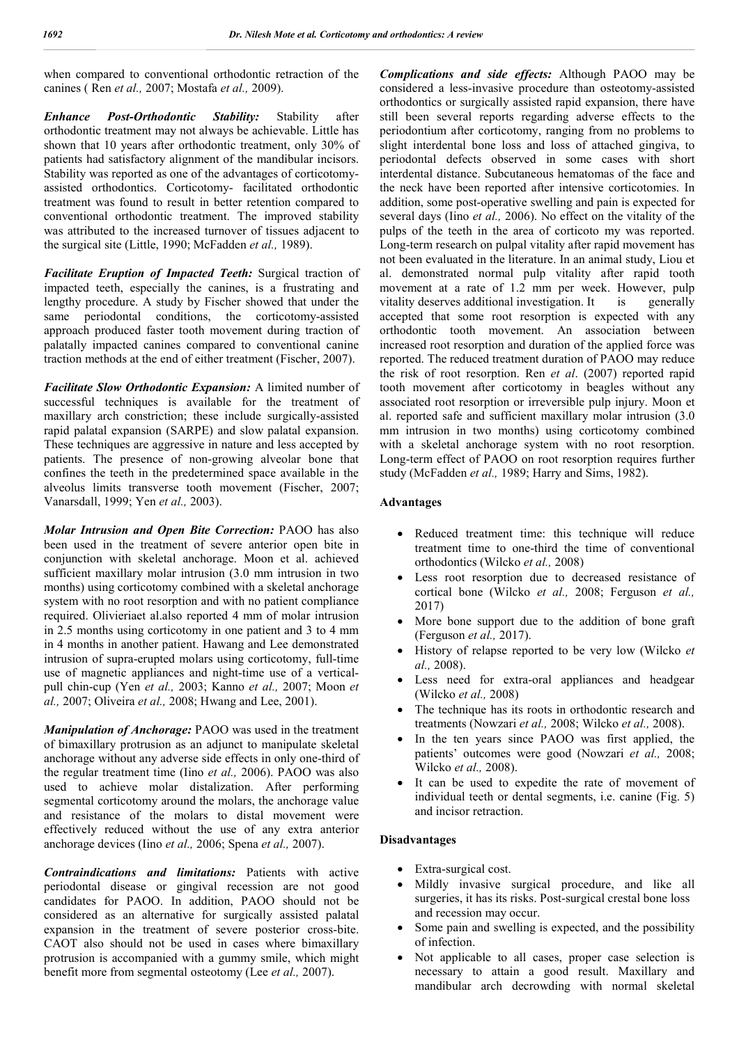when compared to conventional orthodontic retraction of the canines ( Ren *et al.,* 2007; Mostafa *et al.,* 2009).

*Enhance Post-Orthodontic Stability:* Stability after orthodontic treatment may not always be achievable. Little has shown that 10 years after orthodontic treatment, only 30% of patients had satisfactory alignment of the mandibular incisors. Stability was reported as one of the advantages of corticotomyassisted orthodontics. Corticotomy- facilitated orthodontic treatment was found to result in better retention compared to conventional orthodontic treatment. The improved stability was attributed to the increased turnover of tissues adjacent to the surgical site (Little, 1990; McFadden *et al.,* 1989).

*Facilitate Eruption of Impacted Teeth:* Surgical traction of impacted teeth, especially the canines, is a frustrating and lengthy procedure. A study by Fischer showed that under the same periodontal conditions, the corticotomy-assisted approach produced faster tooth movement during traction of palatally impacted canines compared to conventional canine traction methods at the end of either treatment (Fischer, 2007).

*Facilitate Slow Orthodontic Expansion:* A limited number of successful techniques is available for the treatment of maxillary arch constriction; these include surgically-assisted rapid palatal expansion (SARPE) and slow palatal expansion. These techniques are aggressive in nature and less accepted by patients. The presence of non-growing alveolar bone that confines the teeth in the predetermined space available in the alveolus limits transverse tooth movement (Fischer, 2007; Vanarsdall, 1999; Yen *et al.,* 2003).

*Molar Intrusion and Open Bite Correction:* PAOO has also been used in the treatment of severe anterior open bite in conjunction with skeletal anchorage. Moon et al. achieved sufficient maxillary molar intrusion (3.0 mm intrusion in two months) using corticotomy combined with a skeletal anchorage system with no root resorption and with no patient compliance required. Olivieriaet al.also reported 4 mm of molar intrusion in 2.5 months using corticotomy in one patient and 3 to 4 mm in 4 months in another patient. Hawang and Lee demonstrated intrusion of supra-erupted molars using corticotomy, full-time use of magnetic appliances and night-time use of a verticalpull chin-cup (Yen *et al.,* 2003; Kanno *et al.,* 2007; Moon *et al.,* 2007; Oliveira *et al.,* 2008; Hwang and Lee, 2001).

*Manipulation of Anchorage:* PAOO was used in the treatment of bimaxillary protrusion as an adjunct to manipulate skeletal anchorage without any adverse side effects in only one-third of the regular treatment time (Iino *et al.,* 2006). PAOO was also used to achieve molar distalization. After performing segmental corticotomy around the molars, the anchorage value and resistance of the molars to distal movement were effectively reduced without the use of any extra anterior anchorage devices (Iino *et al.,* 2006; Spena *et al.,* 2007).

*Contraindications and limitations:* Patients with active periodontal disease or gingival recession are not good candidates for PAOO. In addition, PAOO should not be considered as an alternative for surgically assisted palatal expansion in the treatment of severe posterior cross-bite. CAOT also should not be used in cases where bimaxillary protrusion is accompanied with a gummy smile, which might benefit more from segmental osteotomy (Lee *et al.,* 2007).

*Complications and side effects:* Although PAOO may be considered a less-invasive procedure than osteotomy-assisted orthodontics or surgically assisted rapid expansion, there have still been several reports regarding adverse effects to the periodontium after corticotomy, ranging from no problems to slight interdental bone loss and loss of attached gingiva, to periodontal defects observed in some cases with short interdental distance. Subcutaneous hematomas of the face and the neck have been reported after intensive corticotomies. In addition, some post-operative swelling and pain is expected for several days (Iino *et al.,* 2006). No effect on the vitality of the pulps of the teeth in the area of corticoto my was reported. Long-term research on pulpal vitality after rapid movement has not been evaluated in the literature. In an animal study, Liou et al. demonstrated normal pulp vitality after rapid tooth movement at a rate of 1.2 mm per week. However, pulp vitality deserves additional investigation. It is generally accepted that some root resorption is expected with any orthodontic tooth movement. An association between increased root resorption and duration of the applied force was reported. The reduced treatment duration of PAOO may reduce the risk of root resorption. Ren *et al*. (2007) reported rapid tooth movement after corticotomy in beagles without any associated root resorption or irreversible pulp injury. Moon et al. reported safe and sufficient maxillary molar intrusion (3.0 mm intrusion in two months) using corticotomy combined with a skeletal anchorage system with no root resorption. Long-term effect of PAOO on root resorption requires further study (McFadden *et al.,* 1989; Harry and Sims, 1982).

#### **Advantages**

- Reduced treatment time: this technique will reduce treatment time to one-third the time of conventional orthodontics (Wilcko *et al.,* 2008)
- Less root resorption due to decreased resistance of cortical bone (Wilcko *et al.,* 2008; Ferguson *et al.,*  2017)
- More bone support due to the addition of bone graft (Ferguson *et al.,* 2017).
- History of relapse reported to be very low (Wilcko *et al.,* 2008).
- Less need for extra-oral appliances and headgear (Wilcko *et al.,* 2008)
- The technique has its roots in orthodontic research and treatments (Nowzari *et al.,* 2008; Wilcko *et al.,* 2008).
- In the ten years since PAOO was first applied, the patients' outcomes were good (Nowzari *et al.,* 2008; Wilcko *et al.,* 2008).
- It can be used to expedite the rate of movement of individual teeth or dental segments, i.e. canine (Fig. 5) and incisor retraction.

#### **Disadvantages**

- Extra-surgical cost.
- Mildly invasive surgical procedure, and like all surgeries, it has its risks. Post-surgical crestal bone loss and recession may occur.
- Some pain and swelling is expected, and the possibility of infection.
- Not applicable to all cases, proper case selection is necessary to attain a good result. Maxillary and mandibular arch decrowding with normal skeletal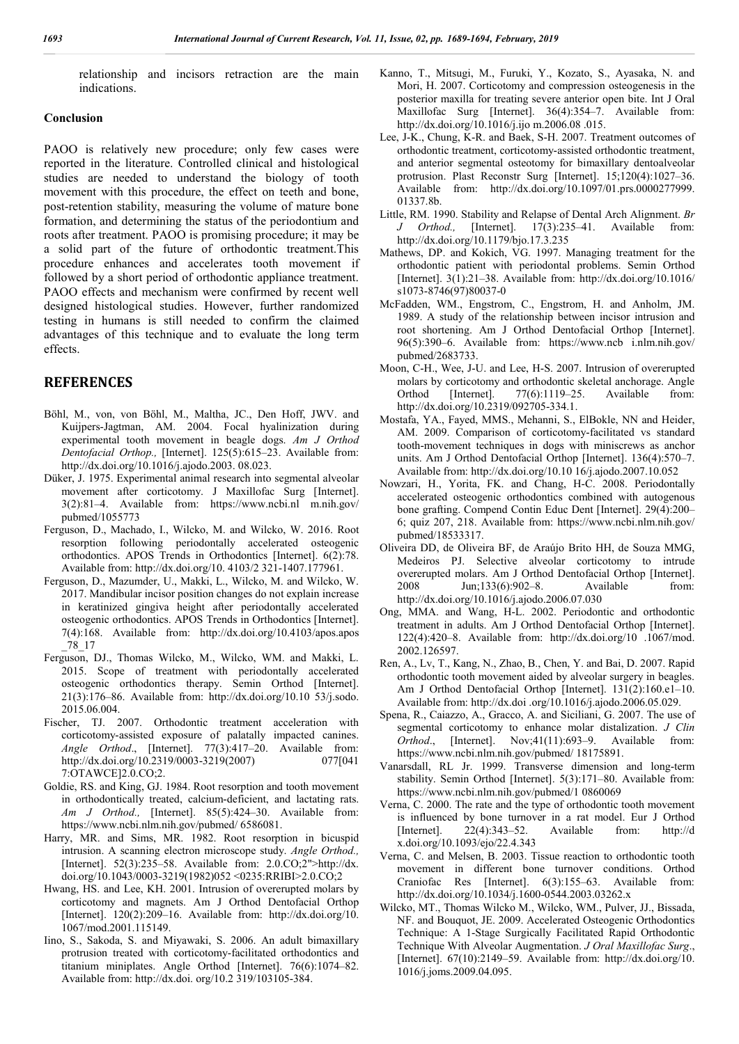relationship and incisors retraction are the main indications.

#### **Conclusion**

PAOO is relatively new procedure; only few cases were reported in the literature. Controlled clinical and histological studies are needed to understand the biology of tooth movement with this procedure, the effect on teeth and bone, post-retention stability, measuring the volume of mature bone formation, and determining the status of the periodontium and roots after treatment. PAOO is promising procedure; it may be a solid part of the future of orthodontic treatment.This procedure enhances and accelerates tooth movement if followed by a short period of orthodontic appliance treatment. PAOO effects and mechanism were confirmed by recent well designed histological studies. However, further randomized testing in humans is still needed to confirm the claimed advantages of this technique and to evaluate the long term effects.

### **REFERENCES**

- Böhl, M., von, von Böhl, M., Maltha, JC., Den Hoff, JWV. and Kuijpers-Jagtman, AM. 2004. Focal hyalinization during experimental tooth movement in beagle dogs. *Am J Orthod Dentofacial Orthop.,* [Internet]. 125(5):615–23. Available from: http://dx.doi.org/10.1016/j.ajodo.2003. 08.023.
- Düker, J. 1975. Experimental animal research into segmental alveolar movement after corticotomy. J Maxillofac Surg [Internet]. 3(2):81–4. Available from: https://www.ncbi.nl m.nih.gov/ pubmed/1055773
- Ferguson, D., Machado, I., Wilcko, M. and Wilcko, W. 2016. Root resorption following periodontally accelerated osteogenic orthodontics. APOS Trends in Orthodontics [Internet]. 6(2):78. Available from: http://dx.doi.org/10. 4103/2 321-1407.177961.
- Ferguson, D., Mazumder, U., Makki, L., Wilcko, M. and Wilcko, W. 2017. Mandibular incisor position changes do not explain increase in keratinized gingiva height after periodontally accelerated osteogenic orthodontics. APOS Trends in Orthodontics [Internet]. 7(4):168. Available from: http://dx.doi.org/10.4103/apos.apos \_78\_17
- Ferguson, DJ., Thomas Wilcko, M., Wilcko, WM. and Makki, L. 2015. Scope of treatment with periodontally accelerated osteogenic orthodontics therapy. Semin Orthod [Internet]. 21(3):176–86. Available from: http://dx.doi.org/10.10 53/j.sodo. 2015.06.004.
- Fischer, TJ. 2007. Orthodontic treatment acceleration with corticotomy-assisted exposure of palatally impacted canines. *Angle Orthod*., [Internet]. 77(3):417–20. Available from: http://dx.doi.org/10.2319/0003-3219(2007) 077[041 7:OTAWCE]2.0.CO;2.
- Goldie, RS. and King, GJ. 1984. Root resorption and tooth movement in orthodontically treated, calcium-deficient, and lactating rats. *Am J Orthod.,* [Internet]. 85(5):424–30. Available from: https://www.ncbi.nlm.nih.gov/pubmed/ 6586081.
- Harry, MR. and Sims, MR. 1982. Root resorption in bicuspid intrusion. A scanning electron microscope study. *Angle Orthod.,* [Internet]. 52(3):235–58. Available from: 2.0.CO;2">http://dx. doi.org/10.1043/0003-3219(1982)052 <0235:RRIBI>2.0.CO;2
- Hwang, HS. and Lee, KH. 2001. Intrusion of overerupted molars by corticotomy and magnets. Am J Orthod Dentofacial Orthop [Internet]. 120(2):209–16. Available from: http://dx.doi.org/10. 1067/mod.2001.115149.
- Iino, S., Sakoda, S. and Miyawaki, S. 2006. An adult bimaxillary protrusion treated with corticotomy-facilitated orthodontics and titanium miniplates. Angle Orthod [Internet]. 76(6):1074–82. Available from: http://dx.doi. org/10.2 319/103105-384.
- Kanno, T., Mitsugi, M., Furuki, Y., Kozato, S., Ayasaka, N. and Mori, H. 2007. Corticotomy and compression osteogenesis in the posterior maxilla for treating severe anterior open bite. Int J Oral Maxillofac Surg [Internet]. 36(4):354–7. Available from: http://dx.doi.org/10.1016/j.ijo m.2006.08 .015.
- Lee, J-K., Chung, K-R. and Baek, S-H. 2007. Treatment outcomes of orthodontic treatment, corticotomy-assisted orthodontic treatment, and anterior segmental osteotomy for bimaxillary dentoalveolar protrusion. Plast Reconstr Surg [Internet]. 15;120(4):1027–36. Available from: http://dx.doi.org/10.1097/01.prs.0000277999. 01337.8b.
- Little, RM. 1990. Stability and Relapse of Dental Arch Alignment. *Br J Orthod.,* [Internet]. 17(3):235–41. Available from: http://dx.doi.org/10.1179/bjo.17.3.235
- Mathews, DP. and Kokich, VG. 1997. Managing treatment for the orthodontic patient with periodontal problems. Semin Orthod [Internet]. 3(1):21–38. Available from: http://dx.doi.org/10.1016/ s1073-8746(97)80037-0
- McFadden, WM., Engstrom, C., Engstrom, H. and Anholm, JM. 1989. A study of the relationship between incisor intrusion and root shortening. Am J Orthod Dentofacial Orthop [Internet]. 96(5):390–6. Available from: https://www.ncb i.nlm.nih.gov/ pubmed/2683733.
- Moon, C-H., Wee, J-U. and Lee, H-S. 2007. Intrusion of overerupted molars by corticotomy and orthodontic skeletal anchorage. Angle Orthod [Internet]. 77(6):1119–25. Available from: http://dx.doi.org/10.2319/092705-334.1.
- Mostafa, YA., Fayed, MMS., Mehanni, S., ElBokle, NN and Heider, AM. 2009. Comparison of corticotomy-facilitated vs standard tooth-movement techniques in dogs with miniscrews as anchor units. Am J Orthod Dentofacial Orthop [Internet]. 136(4):570–7. Available from: http://dx.doi.org/10.10 16/j.ajodo.2007.10.052
- Nowzari, H., Yorita, FK. and Chang, H-C. 2008. Periodontally accelerated osteogenic orthodontics combined with autogenous bone grafting. Compend Contin Educ Dent [Internet]. 29(4):200– 6; quiz 207, 218. Available from: https://www.ncbi.nlm.nih.gov/ pubmed/18533317.
- Oliveira DD, de Oliveira BF, de Araújo Brito HH, de Souza MMG, Medeiros PJ. Selective alveolar corticotomy to intrude overerupted molars. Am J Orthod Dentofacial Orthop [Internet]. 2008 Jun;133(6):902–8. Available from: http://dx.doi.org/10.1016/j.ajodo.2006.07.030
- Ong, MMA. and Wang, H-L. 2002. Periodontic and orthodontic treatment in adults. Am J Orthod Dentofacial Orthop [Internet]. 122(4):420–8. Available from: http://dx.doi.org/10 .1067/mod. 2002.126597.
- Ren, A., Lv, T., Kang, N., Zhao, B., Chen, Y. and Bai, D. 2007. Rapid orthodontic tooth movement aided by alveolar surgery in beagles. Am J Orthod Dentofacial Orthop [Internet]. 131(2):160.e1–10. Available from: http://dx.doi .org/10.1016/j.ajodo.2006.05.029.
- Spena, R., Caiazzo, A., Gracco, A. and Siciliani, G. 2007. The use of segmental corticotomy to enhance molar distalization. *J Clin Orthod*., [Internet]. Nov;41(11):693–9. Available from: https://www.ncbi.nlm.nih.gov/pubmed/ 18175891.
- Vanarsdall, RL Jr. 1999. Transverse dimension and long-term stability. Semin Orthod [Internet]. 5(3):171–80. Available from: https://www.ncbi.nlm.nih.gov/pubmed/1 0860069
- Verna, C. 2000. The rate and the type of orthodontic tooth movement is influenced by bone turnover in a rat model. Eur J Orthod [Internet]. 22(4):343–52. Available from: http://d x.doi.org/10.1093/ejo/22.4.343
- Verna, C. and Melsen, B. 2003. Tissue reaction to orthodontic tooth movement in different bone turnover conditions. Orthod Craniofac Res [Internet]. 6(3):155–63. Available from: http://dx.doi.org/10.1034/j.1600-0544.2003.03262.x
- Wilcko, MT., Thomas Wilcko M., Wilcko, WM., Pulver, JJ., Bissada, NF. and Bouquot, JE. 2009. Accelerated Osteogenic Orthodontics Technique: A 1-Stage Surgically Facilitated Rapid Orthodontic Technique With Alveolar Augmentation. *J Oral Maxillofac Surg*., [Internet]. 67(10):2149–59. Available from: http://dx.doi.org/10. 1016/j.joms.2009.04.095.